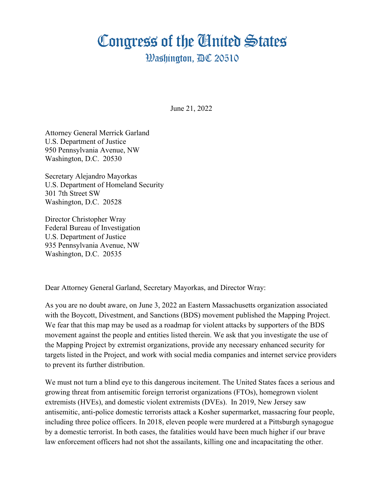## Congress of the Cinited States

## **Washington, AC 20510**

June 21, 2022

Attorney General Merrick Garland U.S. Department of Justice 950 Pennsylvania Avenue, NW Washington, D.C. 20530

Secretary Alejandro Mayorkas U.S. Department of Homeland Security 301 7th Street SW Washington, D.C. 20528

Director Christopher Wray Federal Bureau of Investigation U.S. Department of Justice 935 Pennsylvania Avenue, NW Washington, D.C. 20535

Dear Attorney General Garland, Secretary Mayorkas, and Director Wray:

As you are no doubt aware, on June 3, 2022 an Eastern Massachusetts organization associated with the Boycott, Divestment, and Sanctions (BDS) movement published the Mapping Project. We fear that this map may be used as a roadmap for violent attacks by supporters of the BDS movement against the people and entities listed therein. We ask that you investigate the use of the Mapping Project by extremist organizations, provide any necessary enhanced security for targets listed in the Project, and work with social media companies and internet service providers to prevent its further distribution.

We must not turn a blind eye to this dangerous incitement. The United States faces a serious and growing threat from antisemitic foreign terrorist organizations (FTOs), homegrown violent extremists (HVEs), and domestic violent extremists (DVEs). In 2019, New Jersey saw antisemitic, anti-police domestic terrorists attack a Kosher supermarket, massacring four people, including three police officers. In 2018, eleven people were murdered at a Pittsburgh synagogue by a domestic terrorist. In both cases, the fatalities would have been much higher if our brave law enforcement officers had not shot the assailants, killing one and incapacitating the other.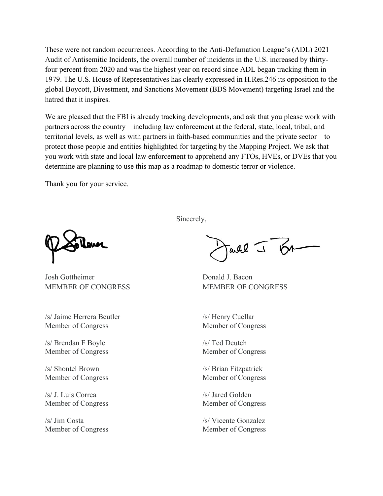These were not random occurrences. According to the Anti-Defamation League's (ADL) 2021 Audit of Antisemitic Incidents, the overall number of incidents in the U.S. increased by thirtyfour percent from 2020 and was the highest year on record since ADL began tracking them in 1979. The U.S. House of Representatives has clearly expressed in H.Res.246 its opposition to the global Boycott, Divestment, and Sanctions Movement (BDS Movement) targeting Israel and the hatred that it inspires.

We are pleased that the FBI is already tracking developments, and ask that you please work with partners across the country – including law enforcement at the federal, state, local, tribal, and territorial levels, as well as with partners in faith-based communities and the private sector – to protect those people and entities highlighted for targeting by the Mapping Project. We ask that you work with state and local law enforcement to apprehend any FTOs, HVEs, or DVEs that you determine are planning to use this map as a roadmap to domestic terror or violence.

Thank you for your service.

Josh Gottheimer Donald J. Bacon MEMBER OF CONGRESS MEMBER OF CONGRESS

/s/ Jaime Herrera Beutler /s/ Henry Cuellar Member of Congress Member of Congress

 $/s/$  Brendan F Boyle  $/s/$  Ted Deutch Member of Congress Member of Congress

/s/ Shontel Brown /s/ Brian Fitzpatrick Member of Congress Member of Congress

/s/ J. Luis Correa /s/ Jared Golden Member of Congress Member of Congress

/s/ Jim Costa /s/ Vicente Gonzalez Member of Congress Member of Congress

Sincerely,

J BA all -